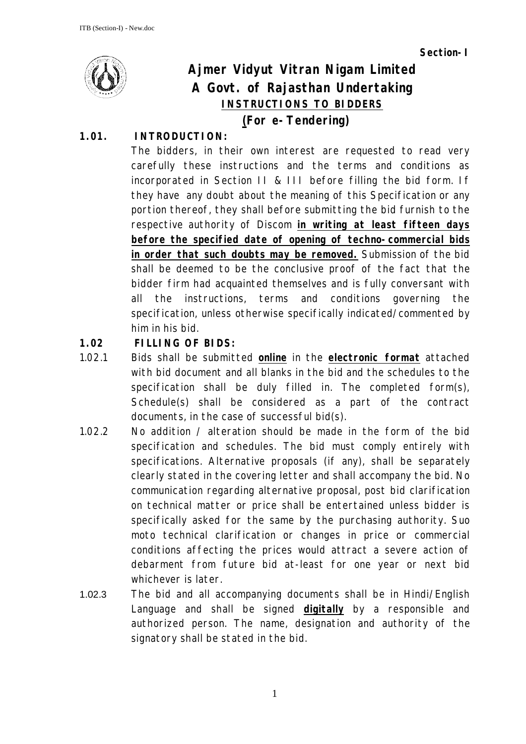**Section-I**



# **Ajmer Vidyut Vitran Nigam Limited A Govt. of Rajasthan Undertaking INSTRUCTIONS TO BIDDERS**

# **(For e-Tendering)**

## **1.01. INTRODUCTION:**

The bidders, in their own interest are requested to read very carefully these instructions and the terms and conditions as incorporated in Section II & III before filling the bid form. If they have any doubt about the meaning of this Specification or any portion thereof, they shall before submitting the bid furnish to the respective authority of Discom **in writing at least fifteen days before the specified date of opening of techno-commercial bids in order that such doubts may be removed.** Submission of the bid shall be deemed to be the conclusive proof of the fact that the bidder firm had acquainted themselves and is fully conversant with all the instructions, terms and conditions governing the specification, unless otherwise specifically indicated/commented by him in his bid.

# **1.02 FILLING OF BIDS:**

- 1.02.1 Bids shall be submitted **online** in the **electronic format** attached with bid document and all blanks in the bid and the schedules to the specification shall be duly filled in. The completed form(s), Schedule(s) shall be considered as a part of the contract documents, in the case of successful bid(s).
- 1.02.2 No addition / alteration should be made in the form of the bid specification and schedules. The bid must comply entirely with specifications. Alternative proposals (if any), shall be separately clearly stated in the covering letter and shall accompany the bid. No communication regarding alternative proposal, post bid clarification on technical matter or price shall be entertained unless bidder is specifically asked for the same by the purchasing authority. Suo moto technical clarification or changes in price or commercial conditions affecting the prices would attract a severe action of debarment from future bid at-least for one year or next bid whichever is later.
- 1.02.3 The bid and all accompanying documents shall be in Hindi/English Language and shall be signed **digitally** by a responsible and authorized person. The name, designation and authority of the signatory shall be stated in the bid.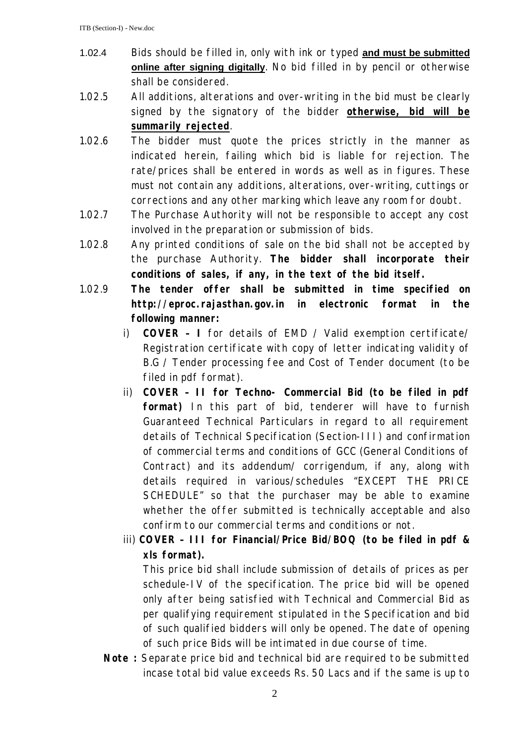- 1.02.4 Bids should be filled in, only with ink or typed **and must be submitted online after signing digitally**. No bid filled in by pencil or otherwise shall be considered.
- 1.02.5 All additions, alterations and over-writing in the bid must be clearly signed by the signatory of the bidder **otherwise, bid will be summarily rejected**.
- 1.02.6 The bidder must quote the prices strictly in the manner as indicated herein, failing which bid is liable for rejection. The rate/prices shall be entered in words as well as in figures. These must not contain any additions, alterations, over-writing, cuttings or corrections and any other marking which leave any room for doubt.
- 1.02.7 The Purchase Authority will not be responsible to accept any cost involved in the preparation or submission of bids.
- 1.02.8 Any printed conditions of sale on the bid shall not be accepted by the purchase Authority. **The bidder shall incorporate their conditions of sales, if any, in the text of the bid itself.**
- 1.02.9 **The tender offer shall be submitted in time specified on http://eproc.rajasthan.gov.in in electronic format in the following manner:**
	- i) **COVER – I** for details of EMD / Valid exemption certificate/ Registration certificate with copy of letter indicating validity of B.G / Tender processing fee and Cost of Tender document (to be filed in pdf format).
	- ii) **COVER – II for Techno- Commercial Bid (to be filed in pdf format)** In this part of bid, tenderer will have to furnish Guaranteed Technical Particulars in regard to all requirement details of Technical Specification (Section-III) and confirmation of commercial terms and conditions of GCC (General Conditions of Contract) and its addendum/ corrigendum, if any, along with details required in various/schedules "EXCEPT THE PRICE SCHEDULE" so that the purchaser may be able to examine whether the offer submitted is technically acceptable and also confirm to our commercial terms and conditions or not.
	- iii) **COVER – III for Financial/Price Bid/BOQ (to be filed in pdf & xls format).**

This price bid shall include submission of details of prices as per schedule-IV of the specification. The price bid will be opened only after being satisfied with Technical and Commercial Bid as per qualifying requirement stipulated in the Specification and bid of such qualified bidders will only be opened. The date of opening of such price Bids will be intimated in due course of time.

**Note :** Separate price bid and technical bid are required to be submitted incase total bid value exceeds Rs. 50 Lacs and if the same is up to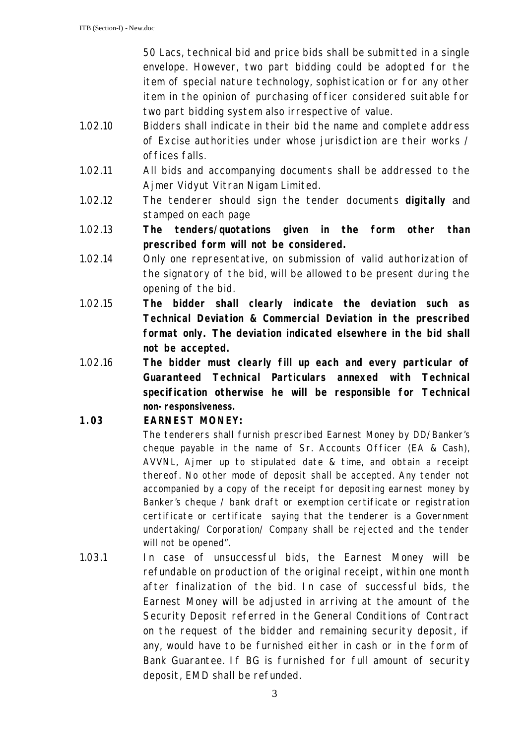50 Lacs, technical bid and price bids shall be submitted in a single envelope. However, two part bidding could be adopted for the item of special nature technology, sophistication or for any other item in the opinion of purchasing officer considered suitable for two part bidding system also irrespective of value.

- 1.02.10 Bidders shall indicate in their bid the name and complete address of Excise authorities under whose jurisdiction are their works / offices falls.
- 1.02.11 All bids and accompanying documents shall be addressed to the Ajmer Vidyut Vitran Nigam Limited.
- 1.02.12 The tenderer should sign the tender documents **digitally** and stamped on each page
- 1.02.13 **The tenders/quotations given in the form other than prescribed form will not be considered.**
- 1.02.14 Only one representative, on submission of valid authorization of the signatory of the bid, will be allowed to be present during the opening of the bid.
- 1.02.15 **The bidder shall clearly indicate the deviation such as Technical Deviation & Commercial Deviation in the prescribed format only. The deviation indicated elsewhere in the bid shall not be accepted.**
- 1.02.16 **The bidder must clearly fill up each and every particular of Guaranteed Technical Particulars annexed with Technical specification otherwise he will be responsible for Technical non-responsiveness.**

#### **1.03 EARNEST MONEY:**

The tenderers shall furnish prescribed Earnest Money by DD/Banker's cheque payable in the name of Sr. Accounts Officer (EA & Cash), AVVNL, Ajmer up to stipulated date & time, and obtain a receipt thereof. No other mode of deposit shall be accepted. Any tender not accompanied by a copy of the receipt for depositing earnest money by Banker's cheque / bank draft or exemption certificate or registration certificate or certificate saying that the tenderer is a Government undertaking/ Corporation/ Company shall be rejected and the tender will not be opened".

1.03.1 In case of unsuccessful bids, the Earnest Money will be refundable on production of the original receipt, within one month after finalization of the bid. In case of successful bids, the Earnest Money will be adjusted in arriving at the amount of the Security Deposit referred in the General Conditions of Contract on the request of the bidder and remaining security deposit, if any, would have to be furnished either in cash or in the form of Bank Guarantee. If BG is furnished for full amount of security deposit, EMD shall be refunded.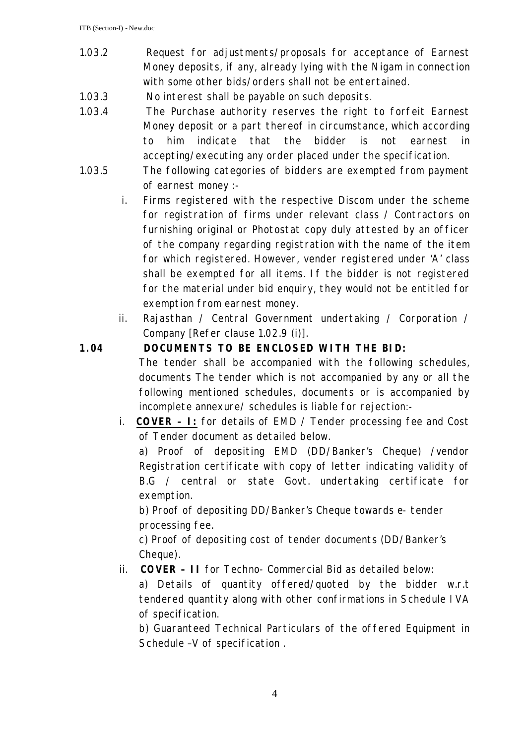- 1.03.2 Request for adjustments/proposals for acceptance of Earnest Money deposits, if any, already lying with the Nigam in connection with some other bids/orders shall not be entertained.
- 1.03.3 No interest shall be payable on such deposits.
- 1.03.4 The Purchase authority reserves the right to forfeit Earnest Money deposit or a part thereof in circumstance, which according to him indicate that the bidder is not earnest in accepting/executing any order placed under the specification.
- 1.03.5 The following categories of bidders are exempted from payment of earnest money :
	- i. Firms registered with the respective Discom under the scheme for registration of firms under relevant class / Contractors on furnishing original or Photostat copy duly attested by an officer of the company regarding registration with the name of the item for which registered. However, vender registered under 'A' class shall be exempted for all items. If the bidder is not registered for the material under bid enquiry, they would not be entitled for exemption from earnest money.
	- ii. Rajasthan / Central Government undertaking / Corporation / Company [Refer clause 1.02.9 (i)].

#### **1.04 DOCUMENTS TO BE ENCLOSED WITH THE BID:**

The tender shall be accompanied with the following schedules, documents The tender which is not accompanied by any or all the following mentioned schedules, documents or is accompanied by incomplete annexure/ schedules is liable for rejection:-

i. **COVER – I:** for details of EMD / Tender processing fee and Cost of Tender document as detailed below.

a) Proof of depositing EMD (DD/Banker's Cheque) /vendor Registration certificate with copy of letter indicating validity of B.G / central or state Govt. undertaking certificate for exemption.

b) Proof of depositing DD/Banker's Cheque towards e- tender processing fee.

c) Proof of depositing cost of tender documents (DD/Banker's Cheque).

ii. **COVER – II** for Techno- Commercial Bid as detailed below:

a) Details of quantity offered/quoted by the bidder w.r.t tendered quantity along with other confirmations in Schedule IVA of specification.

b) Guaranteed Technical Particulars of the offered Equipment in Schedule –V of specification .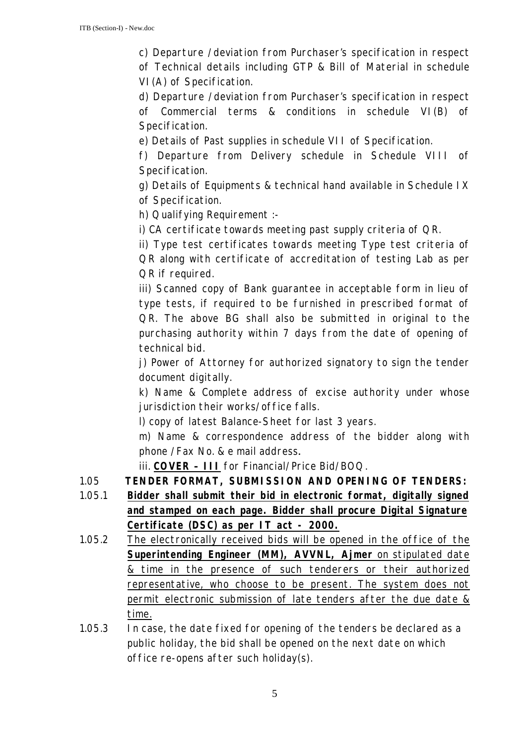c) Departure /deviation from Purchaser's specification in respect of Technical details including GTP & Bill of Material in schedule VI(A) of Specification.

d) Departure /deviation from Purchaser's specification in respect of Commercial terms & conditions in schedule VI(B) of Specification.

e) Details of Past supplies in schedule VII of Specification.

f) Departure from Delivery schedule in Schedule VIII of Specification.

g) Details of Equipments & technical hand available in Schedule IX of Specification.

h) Qualifying Requirement :-

i) CA certificate towards meeting past supply criteria of QR.

ii) Type test certificates towards meeting Type test criteria of QR along with certificate of accreditation of testing Lab as per QR if required.

iii) Scanned copy of Bank guarantee in acceptable form in lieu of type tests, if required to be furnished in prescribed format of QR. The above BG shall also be submitted in original to the purchasing authority within 7 days from the date of opening of technical bid.

j) Power of Attorney for authorized signatory to sign the tender document digitally.

k) Name & Complete address of excise authority under whose jurisdiction their works/office falls.

l) copy of latest Balance-Sheet for last 3 years.

m) Name & correspondence address of the bidder along with phone /Fax No. & e mail address**.**

iii. **COVER – III** for Financial/Price Bid/BOQ.

- 1.05 **TENDER FORMAT, SUBMISSION AND OPENING OF TENDERS:**
- 1.05.1 **Bidder shall submit their bid in electronic format, digitally signed and stamped on each page. Bidder shall procure Digital Signature Certificate (DSC) as per IT act - 2000.**
- 1.05.2 The electronically received bids will be opened in the office of the **Superintending Engineer (MM), AVVNL, Ajmer** on stipulated date & time in the presence of such tenderers or their authorized representative, who choose to be present. The system does not permit electronic submission of late tenders after the due date & time.
- 1.05.3 In case, the date fixed for opening of the tenders be declared as a public holiday, the bid shall be opened on the next date on which office re-opens after such holiday(s).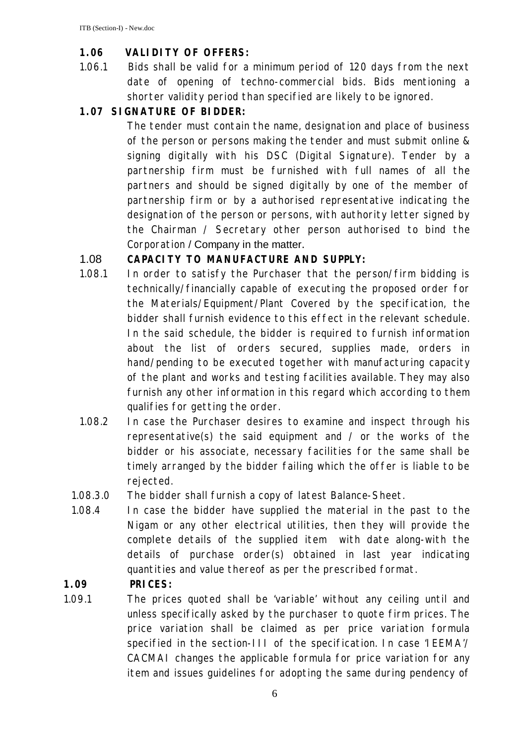#### **1.06 VALIDITY OF OFFERS:**

1.06.1 Bids shall be valid for a minimum period of 120 days from the next date of opening of techno-commercial bids. Bids mentioning a shorter validity period than specified are likely to be ignored.

## **1.07 SIGNATURE OF BIDDER:**

The tender must contain the name, designation and place of business of the person or persons making the tender and must submit online & signing digitally with his DSC (Digital Signature). Tender by a partnership firm must be furnished with full names of all the partners and should be signed digitally by one of the member of partnership firm or by a authorised representative indicating the designation of the person or persons, with authority letter signed by the Chairman / Secretary other person authorised to bind the Corporation / Company in the matter.

#### 1.08 **CAPACITY TO MANUFACTURE AND SUPPLY:**

- 1.08.1 In order to satisfy the Purchaser that the person/firm bidding is technically/financially capable of executing the proposed order for the Materials/Equipment/Plant Covered by the specification, the bidder shall furnish evidence to this effect in the relevant schedule. In the said schedule, the bidder is required to furnish information about the list of orders secured, supplies made, orders in hand/pending to be executed together with manufacturing capacity of the plant and works and testing facilities available. They may also furnish any other information in this regard which according to them qualifies for getting the order.
- 1.08.2 In case the Purchaser desires to examine and inspect through his representative(s) the said equipment and / or the works of the bidder or his associate, necessary facilities for the same shall be timely arranged by the bidder failing which the offer is liable to be rejected.
- 1.08.3.0 The bidder shall furnish a copy of latest Balance-Sheet.
- 1.08.4 In case the bidder have supplied the material in the past to the Nigam or any other electrical utilities, then they will provide the complete details of the supplied item with date along-with the details of purchase order(s) obtained in last year indicating quantities and value thereof as per the prescribed format.

#### **1.09 PRICES:**

1.09.1 The prices quoted shall be 'variable' without any ceiling until and unless specifically asked by the purchaser to quote firm prices. The price variation shall be claimed as per price variation formula specified in the section-III of the specification. In case 'IEEMA'/ CACMAI changes the applicable formula for price variation for any item and issues guidelines for adopting the same during pendency of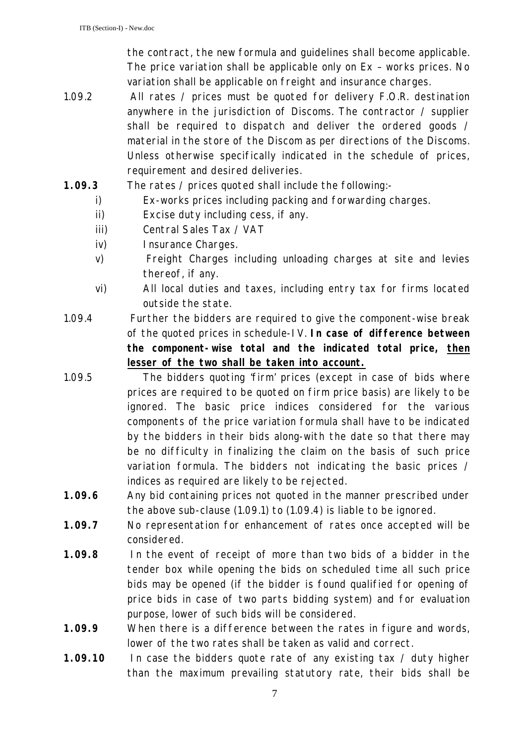the contract, the new formula and guidelines shall become applicable. The price variation shall be applicable only on Ex – works prices. No variation shall be applicable on freight and insurance charges.

- 1.09.2 All rates / prices must be quoted for delivery F.O.R. destination anywhere in the jurisdiction of Discoms. The contractor / supplier shall be required to dispatch and deliver the ordered goods / material in the store of the Discom as per directions of the Discoms. Unless otherwise specifically indicated in the schedule of prices, requirement and desired deliveries.
- **1.09.3** The rates / prices quoted shall include the following:
	- i) Ex-works prices including packing and forwarding charges.
	- ii) Excise duty including cess, if any.
	- iii) Central Sales Tax / VAT
	- iv) Insurance Charges.
	- v) Freight Charges including unloading charges at site and levies thereof, if any.
	- vi) All local duties and taxes, including entry tax for firms located outside the state.
- 1.09.4 Further the bidders are required to give the component-wise break of the quoted prices in schedule-IV. **In case of difference between the component-wise total and the indicated total price, then lesser of the two shall be taken into account.**
- 1.09.5 The bidders quoting 'firm' prices (except in case of bids where prices are required to be quoted on firm price basis) are likely to be ignored. The basic price indices considered for the various components of the price variation formula shall have to be indicated by the bidders in their bids along-with the date so that there may be no difficulty in finalizing the claim on the basis of such price variation formula. The bidders not indicating the basic prices / indices as required are likely to be rejected.
- **1.09.6** Any bid containing prices not quoted in the manner prescribed under the above sub-clause (1.09.1) to (1.09.4) is liable to be ignored.
- **1.09.7** No representation for enhancement of rates once accepted will be considered.
- **1.09.8** In the event of receipt of more than two bids of a bidder in the tender box while opening the bids on scheduled time all such price bids may be opened (if the bidder is found qualified for opening of price bids in case of two parts bidding system) and for evaluation purpose, lower of such bids will be considered.
- **1.09.9** When there is a difference between the rates in figure and words, lower of the two rates shall be taken as valid and correct.
- **1.09.10** In case the bidders quote rate of any existing tax / duty higher than the maximum prevailing statutory rate, their bids shall be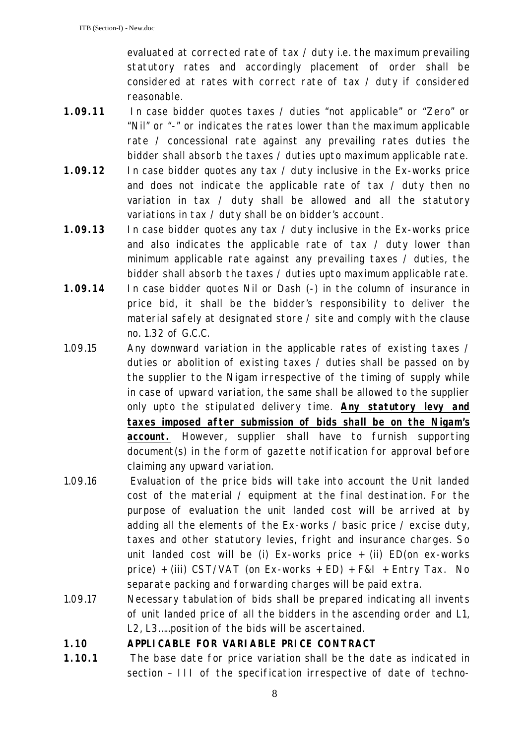evaluated at corrected rate of tax / duty i.e. the maximum prevailing statutory rates and accordingly placement of order shall be considered at rates with correct rate of tax / duty if considered reasonable.

- **1.09.11** In case bidder quotes taxes / duties "not applicable" or "Zero" or "Nil" or "-" or indicates the rates lower than the maximum applicable rate / concessional rate against any prevailing rates duties the bidder shall absorb the taxes / duties upto maximum applicable rate.
- **1.09.12** In case bidder quotes any tax / duty inclusive in the Ex-works price and does not indicate the applicable rate of tax / duty then no variation in tax / duty shall be allowed and all the statutory variations in tax / duty shall be on bidder's account.
- **1.09.13** In case bidder quotes any tax / duty inclusive in the Ex-works price and also indicates the applicable rate of tax / duty lower than minimum applicable rate against any prevailing taxes / duties, the bidder shall absorb the taxes / duties upto maximum applicable rate.
- **1.09.14** In case bidder quotes Nil or Dash (-) in the column of insurance in price bid, it shall be the bidder's responsibility to deliver the material safely at designated store / site and comply with the clause no. 1.32 of G.C.C.
- 1.09.15 Any downward variation in the applicable rates of existing taxes / duties or abolition of existing taxes / duties shall be passed on by the supplier to the Nigam irrespective of the timing of supply while in case of upward variation, the same shall be allowed to the supplier only upto the stipulated delivery time. **Any statutory levy and taxes imposed after submission of bids shall be on the Nigam's account.** However, supplier shall have to furnish supporting document(s) in the form of gazette notification for approval before claiming any upward variation.
- 1.09.16 Evaluation of the price bids will take into account the Unit landed cost of the material / equipment at the final destination. For the purpose of evaluation the unit landed cost will be arrived at by adding all the elements of the Ex-works / basic price / excise duty, taxes and other statutory levies, fright and insurance charges. So unit landed cost will be (i) Ex-works price  $+$  (ii) ED(on ex-works price) + (iii) CST/VAT (on Ex-works + ED) +  $F&I$  + Entry Tax. No separate packing and forwarding charges will be paid extra.
- 1.09.17 Necessary tabulation of bids shall be prepared indicating all invents of unit landed price of all the bidders in the ascending order and L1, L2, L3…..position of the bids will be ascertained.

#### **1.10 APPLICABLE FOR VARIABLE PRICE CONTRACT**

**1.10.1** The base date for price variation shall be the date as indicated in section – III of the specification irrespective of date of techno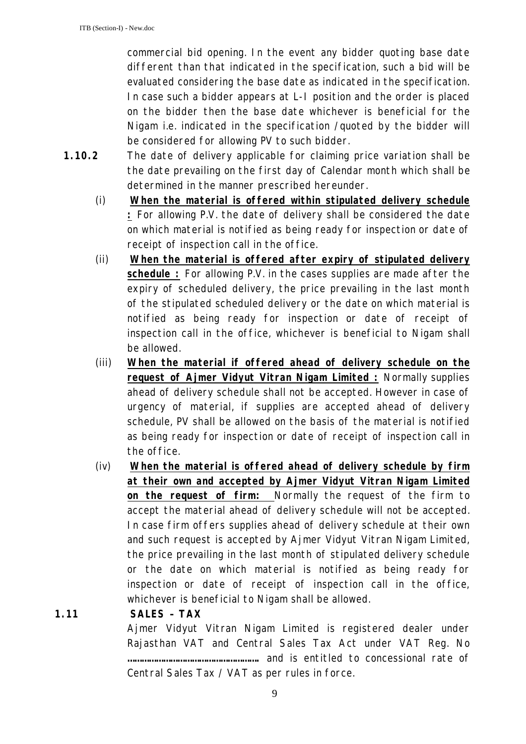commercial bid opening. In the event any bidder quoting base date different than that indicated in the specification, such a bid will be evaluated considering the base date as indicated in the specification. In case such a bidder appears at L-I position and the order is placed on the bidder then the base date whichever is beneficial for the Nigam i.e. indicated in the specification /quoted by the bidder will be considered for allowing PV to such bidder.

- **1.10.2** The date of delivery applicable for claiming price variation shall be the date prevailing on the first day of Calendar month which shall be determined in the manner prescribed hereunder.
	- (i) **When the material is offered within stipulated delivery schedule :** For allowing P.V. the date of delivery shall be considered the date on which material is notified as being ready for inspection or date of receipt of inspection call in the office.
	- (ii) **When the material is offered after expiry of stipulated delivery schedule :** For allowing P.V. in the cases supplies are made after the expiry of scheduled delivery, the price prevailing in the last month of the stipulated scheduled delivery or the date on which material is notified as being ready for inspection or date of receipt of inspection call in the office, whichever is beneficial to Nigam shall be allowed.
	- (iii) **When the material if offered ahead of delivery schedule on the request of Ajmer Vidyut Vitran Nigam Limited :** Normally supplies ahead of delivery schedule shall not be accepted. However in case of urgency of material, if supplies are accepted ahead of delivery schedule, PV shall be allowed on the basis of the material is notified as being ready for inspection or date of receipt of inspection call in the office.
	- (iv) **When the material is offered ahead of delivery schedule by firm at their own and accepted by Ajmer Vidyut Vitran Nigam Limited on the request of firm:** Normally the request of the firm to accept the material ahead of delivery schedule will not be accepted. In case firm offers supplies ahead of delivery schedule at their own and such request is accepted by Ajmer Vidyut Vitran Nigam Limited, the price prevailing in the last month of stipulated delivery schedule or the date on which material is notified as being ready for inspection or date of receipt of inspection call in the office, whichever is beneficial to Nigam shall be allowed.

### **1.11 SALES – TAX**

Ajmer Vidyut Vitran Nigam Limited is registered dealer under Rajasthan VAT and Central Sales Tax Act under VAT Reg. No **……………………………………………….** and is entitled to concessional rate of Central Sales Tax / VAT as per rules in force.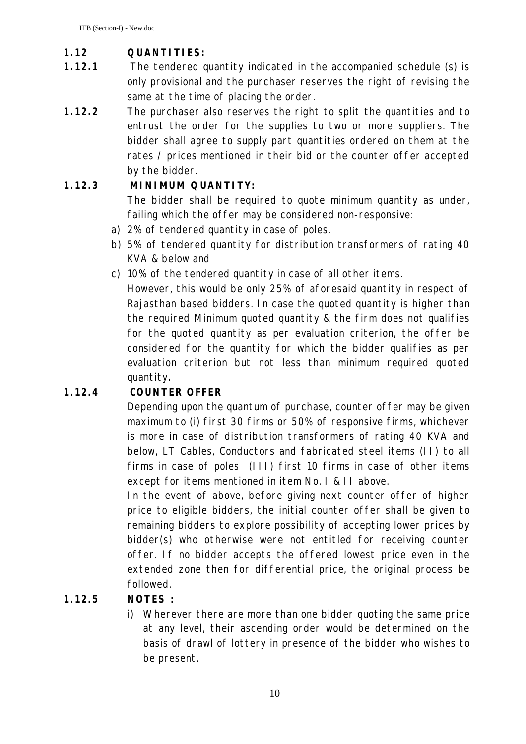## **1.12 QUANTITIES:**

- **1.12.1** The tendered quantity indicated in the accompanied schedule (s) is only provisional and the purchaser reserves the right of revising the same at the time of placing the order.
- **1.12.2** The purchaser also reserves the right to split the quantities and to entrust the order for the supplies to two or more suppliers. The bidder shall agree to supply part quantities ordered on them at the rates / prices mentioned in their bid or the counter offer accepted by the bidder.

#### **1.12.3 MINIMUM QUANTITY:**

The bidder shall be required to quote minimum quantity as under, failing which the offer may be considered non-responsive:

- a) 2% of tendered quantity in case of poles.
- b) 5% of tendered quantity for distribution transformers of rating 40 KVA & below and
- c) 10% of the tendered quantity in case of all other items.

However, this would be only 25% of aforesaid quantity in respect of Rajasthan based bidders. In case the quoted quantity is higher than the required Minimum quoted quantity & the firm does not qualifies for the quoted quantity as per evaluation criterion, the offer be considered for the quantity for which the bidder qualifies as per evaluation criterion but not less than minimum required quoted quantity**.**

### **1.12.4 COUNTER OFFER**

Depending upon the quantum of purchase, counter offer may be given maximum to (i) first 30 firms or 50% of responsive firms, whichever is more in case of distribution transformers of rating 40 KVA and below, LT Cables, Conductors and fabricated steel items (II) to all firms in case of poles (III) first 10 firms in case of other items except for items mentioned in item No. I & II above.

In the event of above, before giving next counter offer of higher price to eligible bidders, the initial counter offer shall be given to remaining bidders to explore possibility of accepting lower prices by bidder(s) who otherwise were not entitled for receiving counter offer. If no bidder accepts the offered lowest price even in the extended zone then for differential price, the original process be followed.

### **1.12.5 NOTES :**

i) Wherever there are more than one bidder quoting the same price at any level, their ascending order would be determined on the basis of drawl of lottery in presence of the bidder who wishes to be present.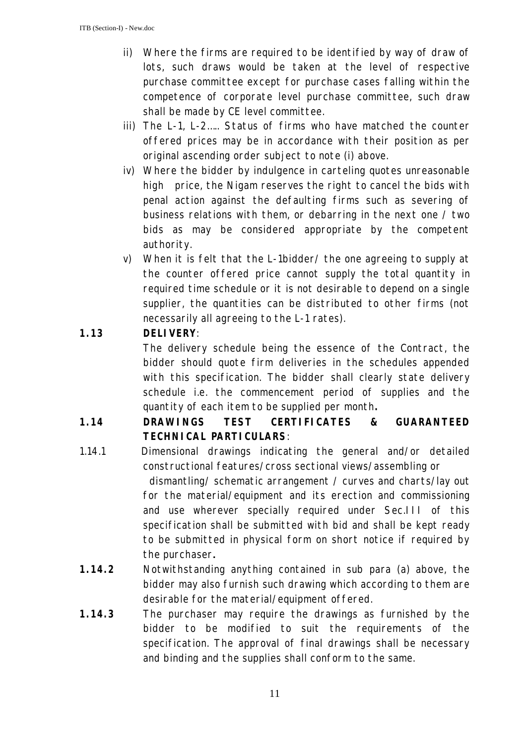- ii) Where the firms are required to be identified by way of draw of lots, such draws would be taken at the level of respective purchase committee except for purchase cases falling within the competence of corporate level purchase committee, such draw shall be made by CE level committee.
- iii) The L-1, L-2….. Status of firms who have matched the counter offered prices may be in accordance with their position as per original ascending order subject to note (i) above.
- iv) Where the bidder by indulgence in carteling quotes unreasonable high price, the Nigam reserves the right to cancel the bids with penal action against the defaulting firms such as severing of business relations with them, or debarring in the next one / two bids as may be considered appropriate by the competent authority.
- v) When it is felt that the L-1bidder/ the one agreeing to supply at the counter offered price cannot supply the total quantity in required time schedule or it is not desirable to depend on a single supplier, the quantities can be distributed to other firms (not necessarily all agreeing to the L-1 rates).

# **1.13 DELIVERY**:

The delivery schedule being the essence of the Contract, the bidder should quote firm deliveries in the schedules appended with this specification. The bidder shall clearly state delivery schedule i.e. the commencement period of supplies and the quantity of each item to be supplied per month**.**

# **1.14 DRAWINGS TEST CERTIFICATES & GUARANTEED TECHNICAL PARTICULARS**:

- 1.14.1 Dimensional drawings indicating the general and/or detailed constructional features/cross sectional views/assembling or dismantling/ schematic arrangement / curves and charts/lay out for the material/equipment and its erection and commissioning and use wherever specially required under Sec.III of this specification shall be submitted with bid and shall be kept ready to be submitted in physical form on short notice if required by the purchaser**.**
- **1.14.2** Notwithstanding anything contained in sub para (a) above, the bidder may also furnish such drawing which according to them are desirable for the material/equipment offered.
- **1.14.3** The purchaser may require the drawings as furnished by the bidder to be modified to suit the requirements of the specification. The approval of final drawings shall be necessary and binding and the supplies shall conform to the same.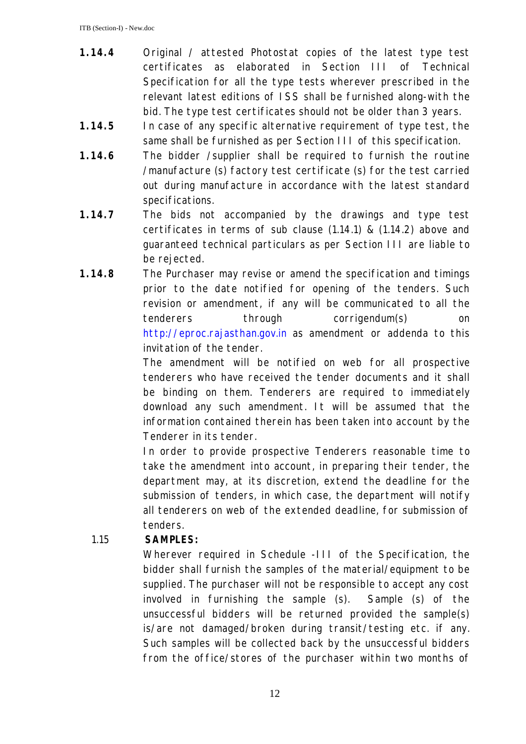- **1.14.4** Original / attested Photostat copies of the latest type test certificates as elaborated in Section III of Technical Specification for all the type tests wherever prescribed in the relevant latest editions of ISS shall be furnished along-with the bid. The type test certificates should not be older than 3 years.
- **1.14.5** In case of any specific alternative requirement of type test, the same shall be furnished as per Section III of this specification.
- **1.14.6** The bidder /supplier shall be required to furnish the routine /manufacture (s) factory test certificate (s) for the test carried out during manufacture in accordance with the latest standard specifications.
- **1.14.7** The bids not accompanied by the drawings and type test certificates in terms of sub clause (1.14.1) & (1.14.2) above and guaranteed technical particulars as per Section III are liable to be rejected.
- **1.14.8** The Purchaser may revise or amend the specification and timings prior to the date notified for opening of the tenders. Such revision or amendment, if any will be communicated to all the tenderers through corrigendum(s) on http://eproc.rajasthan.gov.in as amendment or addenda to this invitation of the tender.

The amendment will be notified on web for all prospective tenderers who have received the tender documents and it shall be binding on them. Tenderers are required to immediately download any such amendment. It will be assumed that the information contained therein has been taken into account by the Tenderer in its tender.

In order to provide prospective Tenderers reasonable time to take the amendment into account, in preparing their tender, the department may, at its discretion, extend the deadline for the submission of tenders, in which case, the department will notify all tenderers on web of the extended deadline, for submission of tenders.

### 1.15 **SAMPLES:**

Wherever required in Schedule -III of the Specification, the bidder shall furnish the samples of the material/equipment to be supplied. The purchaser will not be responsible to accept any cost involved in furnishing the sample (s). Sample (s) of the unsuccessful bidders will be returned provided the sample(s) is/are not damaged/broken during transit/testing etc. if any. Such samples will be collected back by the unsuccessful bidders from the office/stores of the purchaser within two months of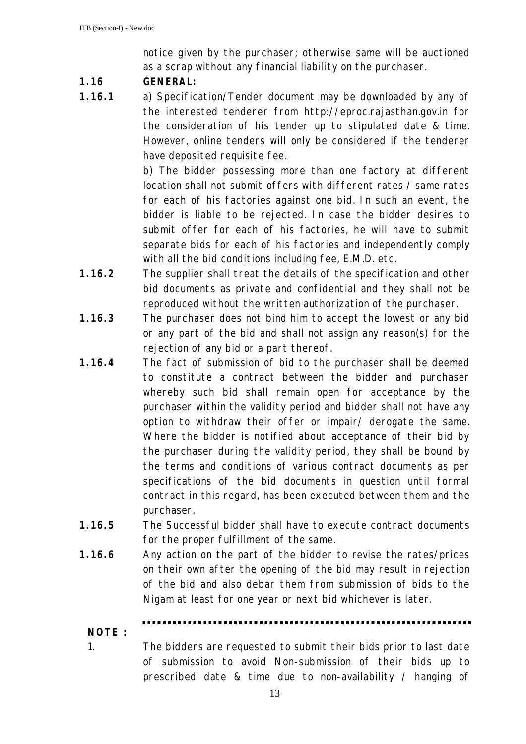notice given by the purchaser; otherwise same will be auctioned as a scrap without any financial liability on the purchaser.

#### **1.16 GENERAL:**

**1.16.1** a) Specification/Tender document may be downloaded by any of the interested tenderer from http://eproc.rajasthan.gov.in for the consideration of his tender up to stipulated date & time. However, online tenders will only be considered if the tenderer have deposited requisite fee.

> b) The bidder possessing more than one factory at different location shall not submit offers with different rates / same rates for each of his factories against one bid. In such an event, the bidder is liable to be rejected. In case the bidder desires to submit offer for each of his factories, he will have to submit separate bids for each of his factories and independently comply with all the bid conditions including fee, E.M.D. etc.

- **1.16.2** The supplier shall treat the details of the specification and other bid documents as private and confidential and they shall not be reproduced without the written authorization of the purchaser.
- **1.16.3** The purchaser does not bind him to accept the lowest or any bid or any part of the bid and shall not assign any reason(s) for the rejection of any bid or a part thereof.
- **1.16.4** The fact of submission of bid to the purchaser shall be deemed to constitute a contract between the bidder and purchaser whereby such bid shall remain open for acceptance by the purchaser within the validity period and bidder shall not have any option to withdraw their offer or impair/ derogate the same. Where the bidder is notified about acceptance of their bid by the purchaser during the validity period, they shall be bound by the terms and conditions of various contract documents as per specifications of the bid documents in question until formal contract in this regard, has been executed between them and the purchaser.
- **1.16.5** The Successful bidder shall have to execute contract documents for the proper fulfillment of the same.
- **1.16.6** Any action on the part of the bidder to revise the rates/prices on their own after the opening of the bid may result in rejection of the bid and also debar them from submission of bids to the Nigam at least for one year or next bid whichever is later.

### **NOTE :**

- 
- 1. The bidders are requested to submit their bids prior to last date of submission to avoid Non-submission of their bids up to prescribed date & time due to non-availability / hanging of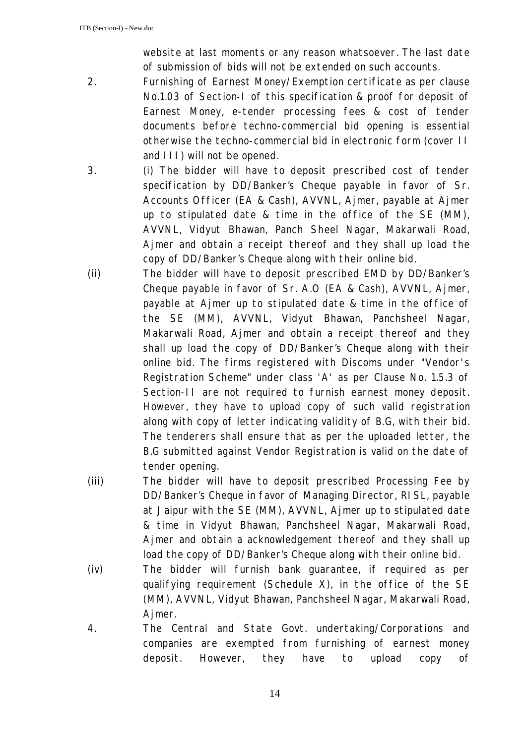website at last moments or any reason whatsoever. The last date of submission of bids will not be extended on such accounts.

- 2. Furnishing of Earnest Money/Exemption certificate as per clause No.1.03 of Section-I of this specification & proof for deposit of Earnest Money, e-tender processing fees & cost of tender documents before techno-commercial bid opening is essential otherwise the techno-commercial bid in electronic form (cover II and III) will not be opened.
- 3. (i) The bidder will have to deposit prescribed cost of tender specification by DD/Banker's Cheque payable in favor of Sr. Accounts Officer (EA & Cash), AVVNL, Ajmer, payable at Ajmer up to stipulated date & time in the office of the SE (MM), AVVNL, Vidyut Bhawan, Panch Sheel Nagar, Makarwali Road, Ajmer and obtain a receipt thereof and they shall up load the copy of DD/Banker's Cheque along with their online bid.
- (ii) The bidder will have to deposit prescribed EMD by DD/Banker's Cheque payable in favor of Sr. A.O (EA & Cash), AVVNL, Ajmer, payable at Ajmer up to stipulated date & time in the office of the SE (MM), AVVNL, Vidyut Bhawan, Panchsheel Nagar, Makarwali Road, Ajmer and obtain a receipt thereof and they shall up load the copy of DD/Banker's Cheque along with their online bid. The firms registered with Discoms under "Vendor's Registration Scheme" under class 'A' as per Clause No. 1.5.3 of Section-II are not required to furnish earnest money deposit. However, they have to upload copy of such valid registration along with copy of letter indicating validity of B.G, with their bid. The tenderers shall ensure that as per the uploaded letter, the B.G submitted against Vendor Registration is valid on the date of tender opening.
- (iii) The bidder will have to deposit prescribed Processing Fee by DD/Banker's Cheque in favor of Managing Director, RISL, payable at Jaipur with the SE (MM), AVVNL, Ajmer up to stipulated date & time in Vidyut Bhawan, Panchsheel Nagar, Makarwali Road, Ajmer and obtain a acknowledgement thereof and they shall up load the copy of DD/Banker's Cheque along with their online bid.
- (iv) The bidder will furnish bank guarantee, if required as per qualifying requirement (Schedule X), in the office of the SE (MM), AVVNL, Vidyut Bhawan, Panchsheel Nagar, Makarwali Road, Ajmer.
- 4. The Central and State Govt. undertaking/Corporations and companies are exempted from furnishing of earnest money deposit. However, they have to upload copy of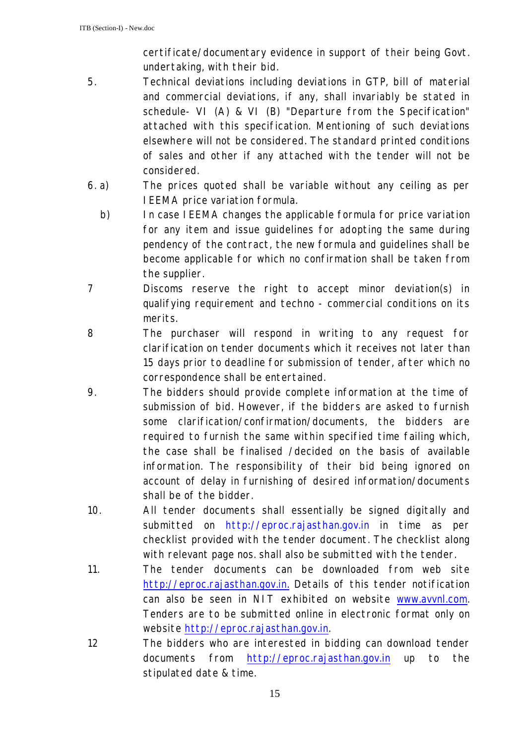certificate/documentary evidence in support of their being Govt. undertaking, with their bid.

- 5. Technical deviations including deviations in GTP, bill of material and commercial deviations, if any, shall invariably be stated in schedule- VI (A) & VI (B) "Departure from the Specification" attached with this specification. Mentioning of such deviations elsewhere will not be considered. The standard printed conditions of sales and other if any attached with the tender will not be considered.
- 6. a) The prices quoted shall be variable without any ceiling as per IEEMA price variation formula.
	- b) In case IEEMA changes the applicable formula for price variation for any item and issue guidelines for adopting the same during pendency of the contract, the new formula and guidelines shall be become applicable for which no confirmation shall be taken from the supplier.
- 7 Discoms reserve the right to accept minor deviation(s) in qualifying requirement and techno - commercial conditions on its merits.
- 8 The purchaser will respond in writing to any request for clarification on tender documents which it receives not later than 15 days prior to deadline for submission of tender, after which no correspondence shall be entertained.
- 9. The bidders should provide complete information at the time of submission of bid. However, if the bidders are asked to furnish some clarification/confirmation/documents, the bidders are required to furnish the same within specified time failing which, the case shall be finalised /decided on the basis of available information. The responsibility of their bid being ignored on account of delay in furnishing of desired information/documents shall be of the bidder.
- 10. All tender documents shall essentially be signed digitally and submitted on http://eproc.rajasthan.gov.in in time as per checklist provided with the tender document. The checklist along with relevant page nos. shall also be submitted with the tender.
- 11. The tender documents can be downloaded from web site http://eproc.rajasthan.gov.in. Details of this tender notification can also be seen in NIT exhibited on website www.avvnl.com. Tenders are to be submitted online in electronic format only on website http://eproc.rajasthan.gov.in.
- 12 The bidders who are interested in bidding can download tender documents from http://eproc.rajasthan.gov.in up to the stipulated date & time.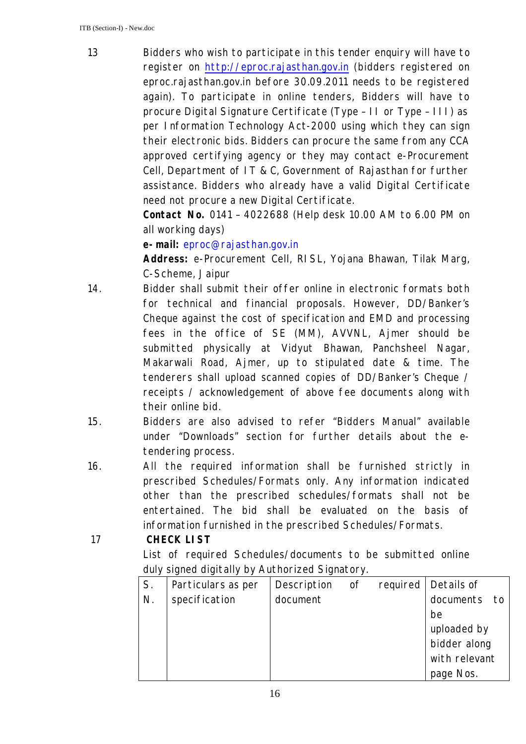13 Bidders who wish to participate in this tender enquiry will have to register on http://eproc.rajasthan.gov.in (bidders registered on eproc.rajasthan.gov.in before 30.09.2011 needs to be registered again). To participate in online tenders, Bidders will have to procure Digital Signature Certificate (Type – II or Type – III) as per Information Technology Act-2000 using which they can sign their electronic bids. Bidders can procure the same from any CCA approved certifying agency or they may contact e-Procurement Cell, Department of IT & C, Government of Rajasthan for further assistance. Bidders who already have a valid Digital Certificate need not procure a new Digital Certificate.

**Contact No.** 0141 – 4022688 (Help desk 10.00 AM to 6.00 PM on all working days)

**e-mail:** eproc@rajasthan.gov.in

**Address:** e-Procurement Cell, RISL, Yojana Bhawan, Tilak Marg, C-Scheme, Jaipur

- 14. Bidder shall submit their offer online in electronic formats both for technical and financial proposals. However, DD/Banker's Cheque against the cost of specification and EMD and processing fees in the office of SE (MM), AVVNL, Ajmer should be submitted physically at Vidyut Bhawan, Panchsheel Nagar, Makarwali Road, Ajmer, up to stipulated date & time. The tenderers shall upload scanned copies of DD/Banker's Cheque / receipts / acknowledgement of above fee documents along with their online bid.
- 15. Bidders are also advised to refer "Bidders Manual" available under "Downloads" section for further details about the etendering process.
- 16. All the required information shall be furnished strictly in prescribed Schedules/Formats only. Any information indicated other than the prescribed schedules/formats shall not be entertained. The bid shall be evaluated on the basis of information furnished in the prescribed Schedules/Formats.

#### 17 **CHECK LIST**

List of required Schedules/documents to be submitted online duly signed digitally by Authorized Signatory.

| S. | Particulars as per | Description of required   Details of |  |                   |
|----|--------------------|--------------------------------------|--|-------------------|
| N. | specification      | document                             |  | documents<br>− to |
|    |                    |                                      |  | be                |
|    |                    |                                      |  | uploaded by       |
|    |                    |                                      |  | bidder along      |
|    |                    |                                      |  | with relevant     |
|    |                    |                                      |  | page Nos.         |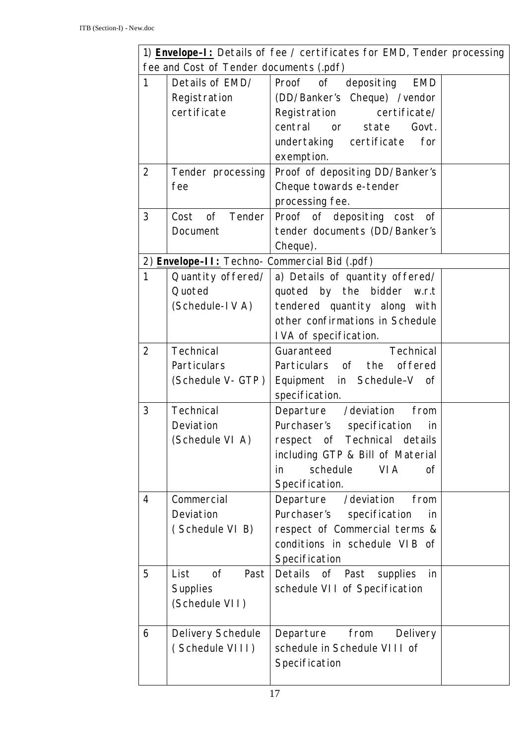| 1) <b>Envelope-I:</b> Details of fee / certificates for EMD, Tender processing |                                                      |                                                     |  |  |  |  |  |
|--------------------------------------------------------------------------------|------------------------------------------------------|-----------------------------------------------------|--|--|--|--|--|
| fee and Cost of Tender documents (.pdf)                                        |                                                      |                                                     |  |  |  |  |  |
| $\mathbf{1}$                                                                   | Details of EMD/                                      | Proof of depositing<br><b>EMD</b>                   |  |  |  |  |  |
|                                                                                | Registration                                         | (DD/Banker's Cheque) /vendor                        |  |  |  |  |  |
|                                                                                | certificate                                          | Registration certificate/                           |  |  |  |  |  |
|                                                                                |                                                      | central<br>state<br>Govt.<br>$\overline{\text{or}}$ |  |  |  |  |  |
|                                                                                |                                                      | undertaking certificate<br>for                      |  |  |  |  |  |
|                                                                                |                                                      | exemption.                                          |  |  |  |  |  |
| $\overline{2}$                                                                 | Tender processing                                    | Proof of depositing DD/Banker's                     |  |  |  |  |  |
|                                                                                | fee                                                  | Cheque towards e-tender                             |  |  |  |  |  |
|                                                                                |                                                      | processing fee.                                     |  |  |  |  |  |
| 3                                                                              | of Tender<br>Cost                                    | Proof of depositing cost of                         |  |  |  |  |  |
|                                                                                | Document                                             | tender documents (DD/Banker's                       |  |  |  |  |  |
|                                                                                |                                                      | Cheque).                                            |  |  |  |  |  |
|                                                                                | 2) <b>Envelope-II:</b> Techno- Commercial Bid (.pdf) |                                                     |  |  |  |  |  |
| $\mathbf{1}$                                                                   | Quantity offered/                                    | a) Details of quantity offered/                     |  |  |  |  |  |
|                                                                                | Quoted                                               | quoted by the bidder w.r.t                          |  |  |  |  |  |
|                                                                                | (Schedule-IVA)                                       | tendered quantity along with                        |  |  |  |  |  |
|                                                                                |                                                      | other confirmations in Schedule                     |  |  |  |  |  |
|                                                                                |                                                      | IVA of specification.                               |  |  |  |  |  |
| $\overline{2}$                                                                 | Technical                                            | Technical<br>Guaranteed                             |  |  |  |  |  |
|                                                                                | Particulars                                          | Particulars of the<br>offered                       |  |  |  |  |  |
|                                                                                | (Schedule V- GTP)                                    | Equipment in Schedule-V of                          |  |  |  |  |  |
|                                                                                |                                                      | specification.                                      |  |  |  |  |  |
| 3                                                                              | Technical                                            | Departure /deviation<br>from                        |  |  |  |  |  |
|                                                                                | Deviation                                            | Purchaser's specification<br>in                     |  |  |  |  |  |
|                                                                                | (Schedule VI A)                                      | respect of Technical details                        |  |  |  |  |  |
|                                                                                |                                                      | including GTP & Bill of Material                    |  |  |  |  |  |
|                                                                                |                                                      | schedule<br><b>VIA</b><br>in<br>0f                  |  |  |  |  |  |
|                                                                                |                                                      | Specification.                                      |  |  |  |  |  |
| 4                                                                              | Commercial                                           | Departure /deviation<br>from                        |  |  |  |  |  |
|                                                                                | Deviation                                            | Purchaser's specification<br>in                     |  |  |  |  |  |
|                                                                                | (Schedule VI B)                                      | respect of Commercial terms &                       |  |  |  |  |  |
|                                                                                |                                                      | conditions in schedule VIB of                       |  |  |  |  |  |
|                                                                                |                                                      | Specification                                       |  |  |  |  |  |
| 5                                                                              | List<br>0f<br>Past                                   | Details of Past<br>supplies<br>in                   |  |  |  |  |  |
|                                                                                | <b>Supplies</b>                                      | schedule VII of Specification                       |  |  |  |  |  |
|                                                                                | (Schedule VII)                                       |                                                     |  |  |  |  |  |
|                                                                                |                                                      |                                                     |  |  |  |  |  |
| 6                                                                              | Delivery Schedule                                    | Departure<br>from<br>Delivery                       |  |  |  |  |  |
|                                                                                | (Schedule VIII)                                      | schedule in Schedule VIII of                        |  |  |  |  |  |
|                                                                                |                                                      | Specification                                       |  |  |  |  |  |
|                                                                                |                                                      |                                                     |  |  |  |  |  |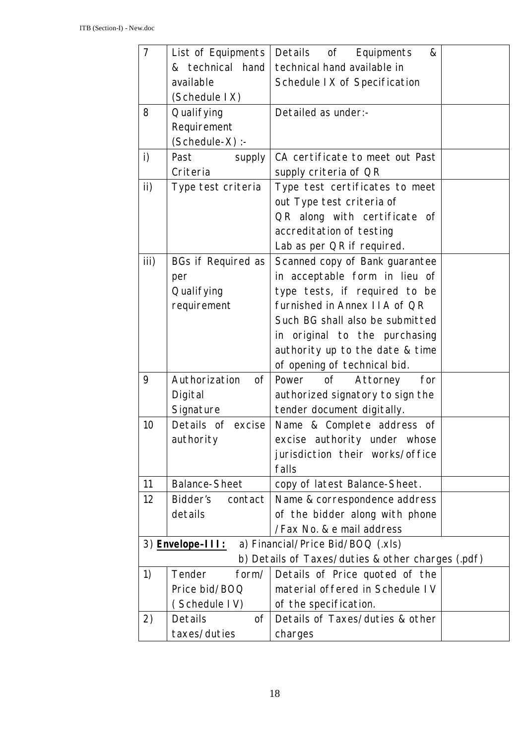| $\overline{7}$ | List of Equipments   | Details of Equipments<br>&                        |  |
|----------------|----------------------|---------------------------------------------------|--|
|                | & technical hand     | technical hand available in                       |  |
|                | available            | Schedule IX of Specification                      |  |
|                | (Schedule IX)        |                                                   |  |
| 8              | Qualifying           | Detailed as under:-                               |  |
|                | Requirement          |                                                   |  |
|                | (Schedule-X) :-      |                                                   |  |
| $\mathsf{i}$   | Past<br>supply       | CA certificate to meet out Past                   |  |
|                | Criteria             | supply criteria of QR                             |  |
| $\mathsf{ii}$  | Type test criteria   | Type test certificates to meet                    |  |
|                |                      | out Type test criteria of                         |  |
|                |                      | QR along with certificate of                      |  |
|                |                      | accreditation of testing                          |  |
|                |                      | Lab as per QR if required.                        |  |
| iii)           | BGs if Required as   | Scanned copy of Bank guarantee                    |  |
|                | per                  | in acceptable form in lieu of                     |  |
|                | Qualifying           | type tests, if required to be                     |  |
|                | requirement          | furnished in Annex IIA of QR                      |  |
|                |                      | Such BG shall also be submitted                   |  |
|                |                      | in original to the purchasing                     |  |
|                |                      | authority up to the date & time                   |  |
|                |                      | of opening of technical bid.                      |  |
| 9              | Authorization<br>0f  | Power of<br>Attorney<br>for                       |  |
|                | Digital              | authorized signatory to sign the                  |  |
|                | Signature            | tender document digitally.                        |  |
| 10             | Details of excise    | Name & Complete address of                        |  |
|                | authority            | excise authority under whose                      |  |
|                |                      | jurisdiction their works/office                   |  |
|                |                      | falls                                             |  |
| 11             | <b>Balance-Sheet</b> | copy of latest Balance-Sheet.                     |  |
| 12             | Bidder's<br>contact  | Name & correspondence address                     |  |
|                | details              | of the bidder along with phone                    |  |
|                |                      | /Fax No. & e mail address                         |  |
|                | 3) Envelope-III:     | a) Financial/Price Bid/BOQ (.xls)                 |  |
|                |                      | b) Details of Taxes/duties & other charges (.pdf) |  |
| 1)             | Tender<br>form/      | Details of Price quoted of the                    |  |
|                | Price bid/BOQ        | material offered in Schedule IV                   |  |
|                | (Schedule IV)        | of the specification.                             |  |
| 2)             | Details<br>0f        | Details of Taxes/duties & other                   |  |
|                | taxes/duties         | charges                                           |  |